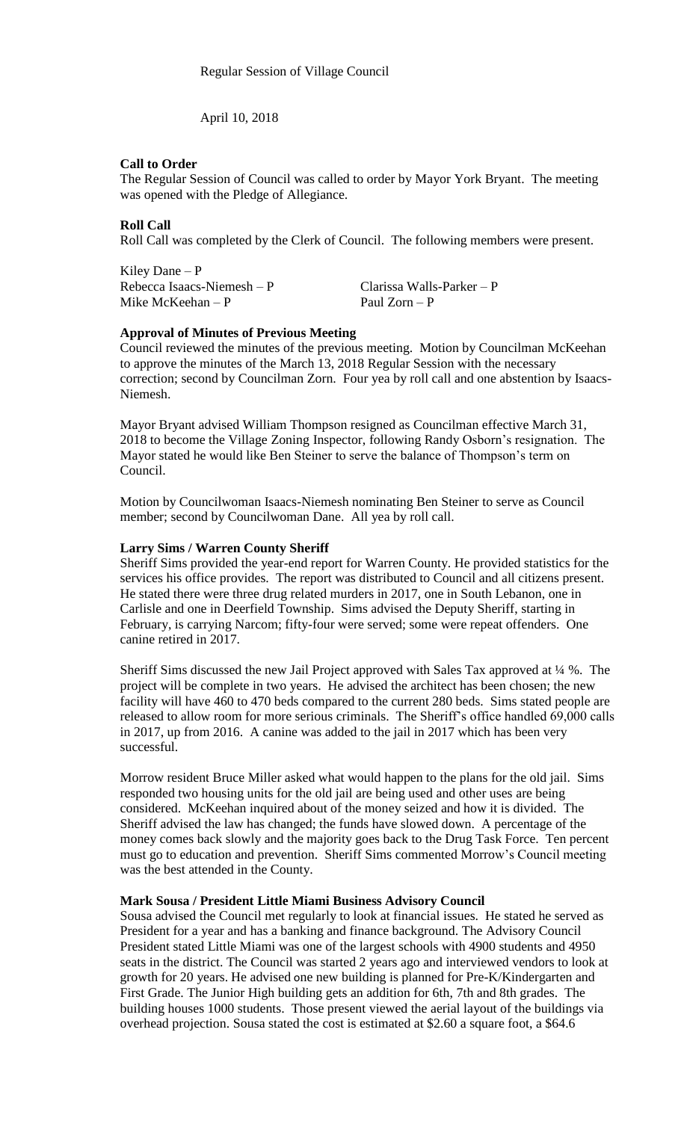April 10, 2018

## **Call to Order**

The Regular Session of Council was called to order by Mayor York Bryant. The meeting was opened with the Pledge of Allegiance.

# **Roll Call**

Roll Call was completed by the Clerk of Council. The following members were present.

Kiley Dane – P Rebecca Isaacs-Niemesh – P Clarissa Walls-Parker – P<br>Mike McKeehan – P P Paul Zorn – P Mike McKeehan –  $P$ 

## **Approval of Minutes of Previous Meeting**

Council reviewed the minutes of the previous meeting. Motion by Councilman McKeehan to approve the minutes of the March 13, 2018 Regular Session with the necessary correction; second by Councilman Zorn. Four yea by roll call and one abstention by Isaacs-Niemesh.

Mayor Bryant advised William Thompson resigned as Councilman effective March 31, 2018 to become the Village Zoning Inspector, following Randy Osborn's resignation. The Mayor stated he would like Ben Steiner to serve the balance of Thompson's term on Council.

Motion by Councilwoman Isaacs-Niemesh nominating Ben Steiner to serve as Council member; second by Councilwoman Dane. All yea by roll call.

## **Larry Sims / Warren County Sheriff**

Sheriff Sims provided the year-end report for Warren County. He provided statistics for the services his office provides. The report was distributed to Council and all citizens present. He stated there were three drug related murders in 2017, one in South Lebanon, one in Carlisle and one in Deerfield Township. Sims advised the Deputy Sheriff, starting in February, is carrying Narcom; fifty-four were served; some were repeat offenders. One canine retired in 2017.

Sheriff Sims discussed the new Jail Project approved with Sales Tax approved at ¼ %. The project will be complete in two years. He advised the architect has been chosen; the new facility will have 460 to 470 beds compared to the current 280 beds. Sims stated people are released to allow room for more serious criminals. The Sheriff's office handled 69,000 calls in 2017, up from 2016. A canine was added to the jail in 2017 which has been very successful.

Morrow resident Bruce Miller asked what would happen to the plans for the old jail. Sims responded two housing units for the old jail are being used and other uses are being considered. McKeehan inquired about of the money seized and how it is divided. The Sheriff advised the law has changed; the funds have slowed down. A percentage of the money comes back slowly and the majority goes back to the Drug Task Force. Ten percent must go to education and prevention. Sheriff Sims commented Morrow's Council meeting was the best attended in the County.

## **Mark Sousa / President Little Miami Business Advisory Council**

Sousa advised the Council met regularly to look at financial issues. He stated he served as President for a year and has a banking and finance background. The Advisory Council President stated Little Miami was one of the largest schools with 4900 students and 4950 seats in the district. The Council was started 2 years ago and interviewed vendors to look at growth for 20 years. He advised one new building is planned for Pre-K/Kindergarten and First Grade. The Junior High building gets an addition for 6th, 7th and 8th grades. The building houses 1000 students. Those present viewed the aerial layout of the buildings via overhead projection. Sousa stated the cost is estimated at \$2.60 a square foot, a \$64.6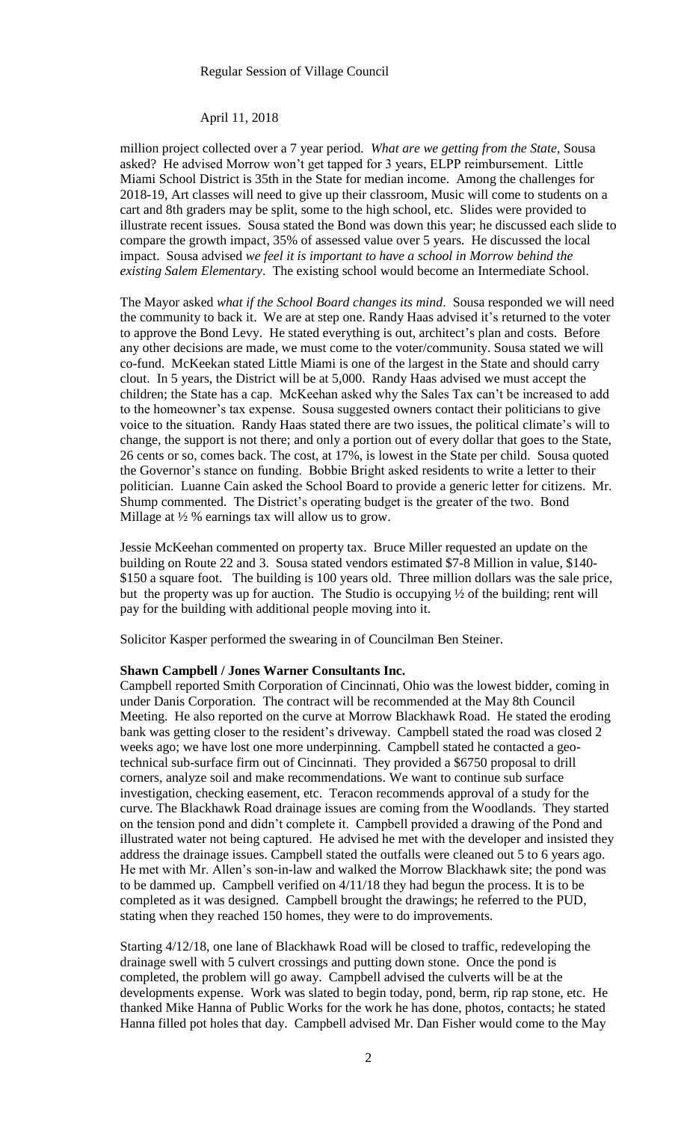#### April 11, 2018

million project collected over a 7 year period. *What are we getting from the State,* Sousa asked? He advised Morrow won't get tapped for 3 years, ELPP reimbursement. Little Miami School District is 35th in the State for median income. Among the challenges for 2018-19, Art classes will need to give up their classroom, Music will come to students on a cart and 8th graders may be split, some to the high school, etc. Slides were provided to illustrate recent issues. Sousa stated the Bond was down this year; he discussed each slide to compare the growth impact, 35% of assessed value over 5 years. He discussed the local impact. Sousa advised *we feel it is important to have a school in Morrow behind the existing Salem Elementary*. The existing school would become an Intermediate School.

The Mayor asked *what if the School Board changes its mind*. Sousa responded we will need the community to back it. We are at step one. Randy Haas advised it's returned to the voter to approve the Bond Levy. He stated everything is out, architect's plan and costs. Before any other decisions are made, we must come to the voter/community. Sousa stated we will co-fund. McKeekan stated Little Miami is one of the largest in the State and should carry clout. In 5 years, the District will be at 5,000. Randy Haas advised we must accept the children; the State has a cap. McKeehan asked why the Sales Tax can't be increased to add to the homeowner's tax expense. Sousa suggested owners contact their politicians to give voice to the situation. Randy Haas stated there are two issues, the political climate's will to change, the support is not there; and only a portion out of every dollar that goes to the State, 26 cents or so, comes back. The cost, at 17%, is lowest in the State per child. Sousa quoted the Governor's stance on funding. Bobbie Bright asked residents to write a letter to their politician. Luanne Cain asked the School Board to provide a generic letter for citizens. Mr. Shump commented. The District's operating budget is the greater of the two. Bond Millage at  $\frac{1}{2}$ % earnings tax will allow us to grow.

Jessie McKeehan commented on property tax. Bruce Miller requested an update on the building on Route 22 and 3. Sousa stated vendors estimated \$7-8 Million in value, \$140- \$150 a square foot. The building is 100 years old. Three million dollars was the sale price, but the property was up for auction. The Studio is occupying  $\frac{1}{2}$  of the building; rent will pay for the building with additional people moving into it.

Solicitor Kasper performed the swearing in of Councilman Ben Steiner.

#### **Shawn Campbell / Jones Warner Consultants Inc.**

Campbell reported Smith Corporation of Cincinnati, Ohio was the lowest bidder, coming in under Danis Corporation. The contract will be recommended at the May 8th Council Meeting. He also reported on the curve at Morrow Blackhawk Road. He stated the eroding bank was getting closer to the resident's driveway. Campbell stated the road was closed 2 weeks ago; we have lost one more underpinning. Campbell stated he contacted a geotechnical sub-surface firm out of Cincinnati. They provided a \$6750 proposal to drill corners, analyze soil and make recommendations. We want to continue sub surface investigation, checking easement, etc. Teracon recommends approval of a study for the curve. The Blackhawk Road drainage issues are coming from the Woodlands. They started on the tension pond and didn't complete it. Campbell provided a drawing of the Pond and illustrated water not being captured. He advised he met with the developer and insisted they address the drainage issues. Campbell stated the outfalls were cleaned out 5 to 6 years ago. He met with Mr. Allen's son-in-law and walked the Morrow Blackhawk site; the pond was to be dammed up. Campbell verified on 4/11/18 they had begun the process. It is to be completed as it was designed. Campbell brought the drawings; he referred to the PUD, stating when they reached 150 homes, they were to do improvements.

Starting 4/12/18, one lane of Blackhawk Road will be closed to traffic, redeveloping the drainage swell with 5 culvert crossings and putting down stone. Once the pond is completed, the problem will go away. Campbell advised the culverts will be at the developments expense. Work was slated to begin today, pond, berm, rip rap stone, etc. He thanked Mike Hanna of Public Works for the work he has done, photos, contacts; he stated Hanna filled pot holes that day. Campbell advised Mr. Dan Fisher would come to the May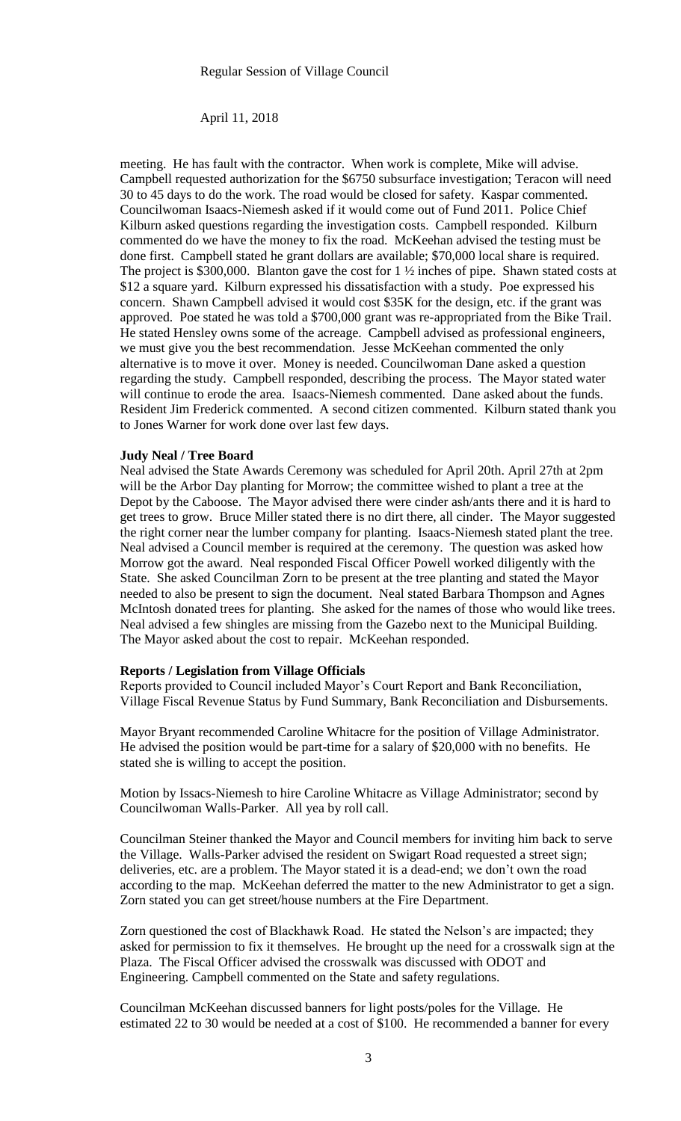### April 11, 2018

meeting. He has fault with the contractor. When work is complete, Mike will advise. Campbell requested authorization for the \$6750 subsurface investigation; Teracon will need 30 to 45 days to do the work. The road would be closed for safety. Kaspar commented. Councilwoman Isaacs-Niemesh asked if it would come out of Fund 2011. Police Chief Kilburn asked questions regarding the investigation costs. Campbell responded. Kilburn commented do we have the money to fix the road. McKeehan advised the testing must be done first. Campbell stated he grant dollars are available; \$70,000 local share is required. The project is \$300,000. Blanton gave the cost for 1 ½ inches of pipe. Shawn stated costs at \$12 a square yard. Kilburn expressed his dissatisfaction with a study. Poe expressed his concern. Shawn Campbell advised it would cost \$35K for the design, etc. if the grant was approved. Poe stated he was told a \$700,000 grant was re-appropriated from the Bike Trail. He stated Hensley owns some of the acreage. Campbell advised as professional engineers, we must give you the best recommendation. Jesse McKeehan commented the only alternative is to move it over. Money is needed. Councilwoman Dane asked a question regarding the study. Campbell responded, describing the process. The Mayor stated water will continue to erode the area. Isaacs-Niemesh commented. Dane asked about the funds. Resident Jim Frederick commented. A second citizen commented. Kilburn stated thank you to Jones Warner for work done over last few days.

#### **Judy Neal / Tree Board**

Neal advised the State Awards Ceremony was scheduled for April 20th. April 27th at 2pm will be the Arbor Day planting for Morrow; the committee wished to plant a tree at the Depot by the Caboose. The Mayor advised there were cinder ash/ants there and it is hard to get trees to grow. Bruce Miller stated there is no dirt there, all cinder. The Mayor suggested the right corner near the lumber company for planting. Isaacs-Niemesh stated plant the tree. Neal advised a Council member is required at the ceremony. The question was asked how Morrow got the award. Neal responded Fiscal Officer Powell worked diligently with the State. She asked Councilman Zorn to be present at the tree planting and stated the Mayor needed to also be present to sign the document. Neal stated Barbara Thompson and Agnes McIntosh donated trees for planting. She asked for the names of those who would like trees. Neal advised a few shingles are missing from the Gazebo next to the Municipal Building. The Mayor asked about the cost to repair. McKeehan responded.

### **Reports / Legislation from Village Officials**

Reports provided to Council included Mayor's Court Report and Bank Reconciliation, Village Fiscal Revenue Status by Fund Summary, Bank Reconciliation and Disbursements.

Mayor Bryant recommended Caroline Whitacre for the position of Village Administrator. He advised the position would be part-time for a salary of \$20,000 with no benefits. He stated she is willing to accept the position.

Motion by Issacs-Niemesh to hire Caroline Whitacre as Village Administrator; second by Councilwoman Walls-Parker. All yea by roll call.

Councilman Steiner thanked the Mayor and Council members for inviting him back to serve the Village. Walls-Parker advised the resident on Swigart Road requested a street sign; deliveries, etc. are a problem. The Mayor stated it is a dead-end; we don't own the road according to the map. McKeehan deferred the matter to the new Administrator to get a sign. Zorn stated you can get street/house numbers at the Fire Department.

Zorn questioned the cost of Blackhawk Road. He stated the Nelson's are impacted; they asked for permission to fix it themselves. He brought up the need for a crosswalk sign at the Plaza. The Fiscal Officer advised the crosswalk was discussed with ODOT and Engineering. Campbell commented on the State and safety regulations.

Councilman McKeehan discussed banners for light posts/poles for the Village. He estimated 22 to 30 would be needed at a cost of \$100. He recommended a banner for every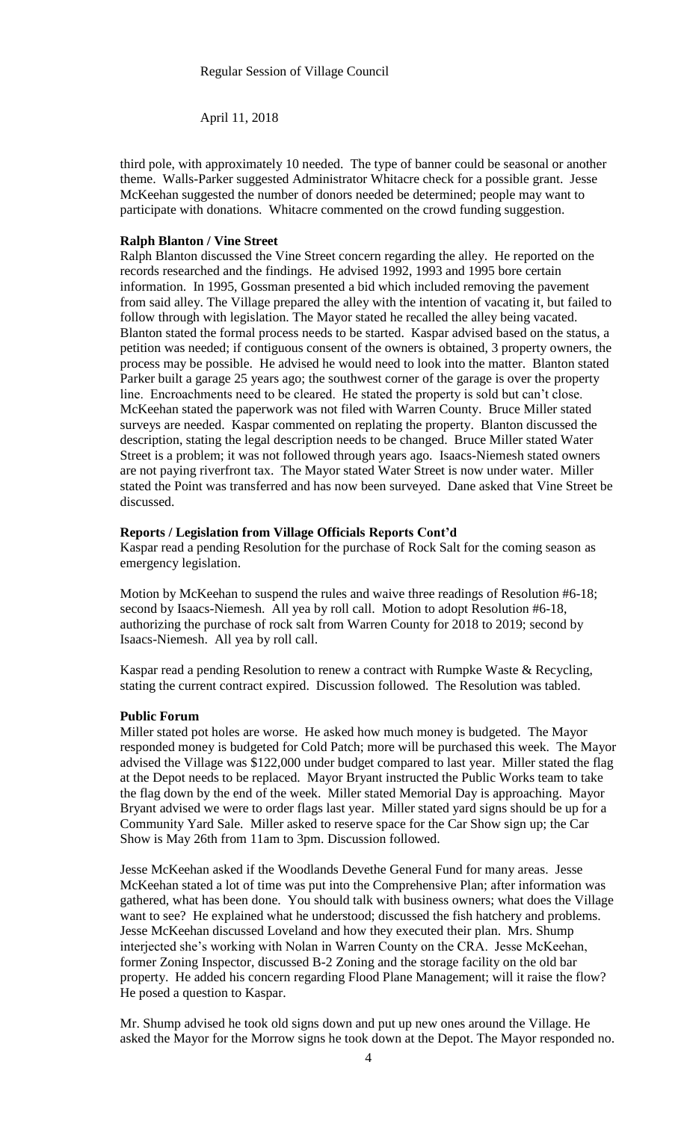April 11, 2018

third pole, with approximately 10 needed. The type of banner could be seasonal or another theme. Walls-Parker suggested Administrator Whitacre check for a possible grant. Jesse McKeehan suggested the number of donors needed be determined; people may want to participate with donations. Whitacre commented on the crowd funding suggestion.

## **Ralph Blanton / Vine Street**

Ralph Blanton discussed the Vine Street concern regarding the alley. He reported on the records researched and the findings. He advised 1992, 1993 and 1995 bore certain information. In 1995, Gossman presented a bid which included removing the pavement from said alley. The Village prepared the alley with the intention of vacating it, but failed to follow through with legislation. The Mayor stated he recalled the alley being vacated. Blanton stated the formal process needs to be started. Kaspar advised based on the status, a petition was needed; if contiguous consent of the owners is obtained, 3 property owners, the process may be possible. He advised he would need to look into the matter. Blanton stated Parker built a garage 25 years ago; the southwest corner of the garage is over the property line. Encroachments need to be cleared. He stated the property is sold but can't close. McKeehan stated the paperwork was not filed with Warren County. Bruce Miller stated surveys are needed. Kaspar commented on replating the property. Blanton discussed the description, stating the legal description needs to be changed. Bruce Miller stated Water Street is a problem; it was not followed through years ago. Isaacs-Niemesh stated owners are not paying riverfront tax. The Mayor stated Water Street is now under water. Miller stated the Point was transferred and has now been surveyed. Dane asked that Vine Street be discussed.

## **Reports / Legislation from Village Officials Reports Cont'd**

Kaspar read a pending Resolution for the purchase of Rock Salt for the coming season as emergency legislation.

Motion by McKeehan to suspend the rules and waive three readings of Resolution #6-18; second by Isaacs-Niemesh. All yea by roll call. Motion to adopt Resolution #6-18, authorizing the purchase of rock salt from Warren County for 2018 to 2019; second by Isaacs-Niemesh. All yea by roll call.

Kaspar read a pending Resolution to renew a contract with Rumpke Waste & Recycling, stating the current contract expired. Discussion followed. The Resolution was tabled.

### **Public Forum**

Miller stated pot holes are worse. He asked how much money is budgeted. The Mayor responded money is budgeted for Cold Patch; more will be purchased this week. The Mayor advised the Village was \$122,000 under budget compared to last year. Miller stated the flag at the Depot needs to be replaced. Mayor Bryant instructed the Public Works team to take the flag down by the end of the week. Miller stated Memorial Day is approaching. Mayor Bryant advised we were to order flags last year. Miller stated yard signs should be up for a Community Yard Sale. Miller asked to reserve space for the Car Show sign up; the Car Show is May 26th from 11am to 3pm. Discussion followed.

Jesse McKeehan asked if the Woodlands Devethe General Fund for many areas. Jesse McKeehan stated a lot of time was put into the Comprehensive Plan; after information was gathered, what has been done. You should talk with business owners; what does the Village want to see? He explained what he understood; discussed the fish hatchery and problems. Jesse McKeehan discussed Loveland and how they executed their plan. Mrs. Shump interjected she's working with Nolan in Warren County on the CRA. Jesse McKeehan, former Zoning Inspector, discussed B-2 Zoning and the storage facility on the old bar property. He added his concern regarding Flood Plane Management; will it raise the flow? He posed a question to Kaspar.

Mr. Shump advised he took old signs down and put up new ones around the Village. He asked the Mayor for the Morrow signs he took down at the Depot. The Mayor responded no.